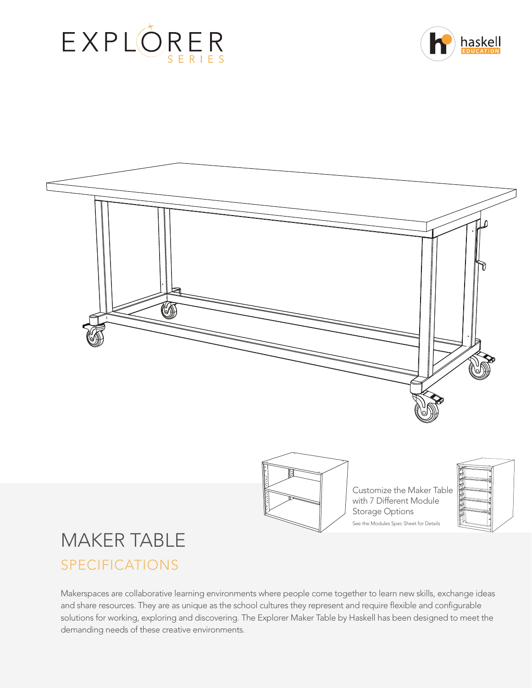







Customize the Maker Table with 7 Different Module Storage Options See the Modules Spec Sheet for Details



# MAKER TABLE SPECIFICATIONS

Makerspaces are collaborative learning environments where people come together to learn new skills, exchange ideas and share resources. They are as unique as the school cultures they represent and require flexible and configurable solutions for working, exploring and discovering. The Explorer Maker Table by Haskell has been designed to meet the demanding needs of these creative environments.